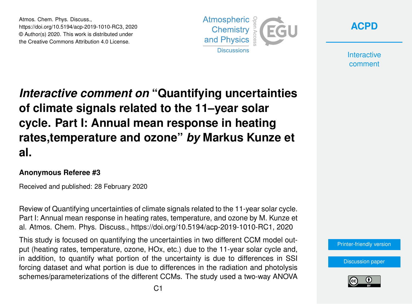Atmos. Chem. Phys. Discuss., https://doi.org/10.5194/acp-2019-1010-RC3, 2020 © Author(s) 2020. This work is distributed under the Creative Commons Attribution 4.0 License.





**Interactive** comment

# *Interactive comment on* **"Quantifying uncertainties of climate signals related to the 11–year solar cycle. Part I: Annual mean response in heating rates,temperature and ozone"** *by* **Markus Kunze et al.**

#### **Anonymous Referee #3**

Received and published: 28 February 2020

Review of Quantifying uncertainties of climate signals related to the 11-year solar cycle. Part I: Annual mean response in heating rates, temperature, and ozone by M. Kunze et al. Atmos. Chem. Phys. Discuss., https://doi.org/10.5194/acp-2019-1010-RC1, 2020

This study is focused on quantifying the uncertainties in two different CCM model output (heating rates, temperature, ozone, HOx, etc.) due to the 11-year solar cycle and, in addition, to quantify what portion of the uncertainty is due to differences in SSI forcing dataset and what portion is due to differences in the radiation and photolysis schemes/parameterizations of the different CCMs. The study used a two-way ANOVA

[Printer-friendly version](https://www.atmos-chem-phys-discuss.net/acp-2019-1010/acp-2019-1010-RC3-print.pdf)

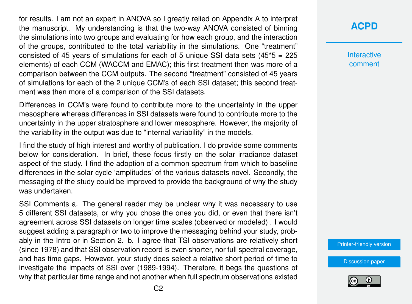for results. I am not an expert in ANOVA so I greatly relied on Appendix A to interpret the manuscript. My understanding is that the two-way ANOVA consisted of binning the simulations into two groups and evaluating for how each group, and the interaction of the groups, contributed to the total variability in the simulations. One "treatment" consisted of 45 years of simulations for each of 5 unique SSI data sets  $(45<sup>*</sup>5 = 225$ elements) of each CCM (WACCM and EMAC); this first treatment then was more of a comparison between the CCM outputs. The second "treatment" consisted of 45 years of simulations for each of the 2 unique CCM's of each SSI dataset; this second treatment was then more of a comparison of the SSI datasets.

Differences in CCM's were found to contribute more to the uncertainty in the upper mesosphere whereas differences in SSI datasets were found to contribute more to the uncertainty in the upper stratosphere and lower mesosphere. However, the majority of the variability in the output was due to "internal variability" in the models.

I find the study of high interest and worthy of publication. I do provide some comments below for consideration. In brief, these focus firstly on the solar irradiance dataset aspect of the study. I find the adoption of a common spectrum from which to baseline differences in the solar cycle 'amplitudes' of the various datasets novel. Secondly, the messaging of the study could be improved to provide the background of why the study was undertaken.

SSI Comments a. The general reader may be unclear why it was necessary to use 5 different SSI datasets, or why you chose the ones you did, or even that there isn't agreement across SSI datasets on longer time scales (observed or modeled) . I would suggest adding a paragraph or two to improve the messaging behind your study, probably in the Intro or in Section 2. b. I agree that TSI observations are relatively short (since 1978) and that SSI observation record is even shorter, nor full spectral coverage, and has time gaps. However, your study does select a relative short period of time to investigate the impacts of SSI over (1989-1994). Therefore, it begs the questions of why that particular time range and not another when full spectrum observations existed

**[ACPD](https://www.atmos-chem-phys-discuss.net/)**

**Interactive** comment

[Printer-friendly version](https://www.atmos-chem-phys-discuss.net/acp-2019-1010/acp-2019-1010-RC3-print.pdf)

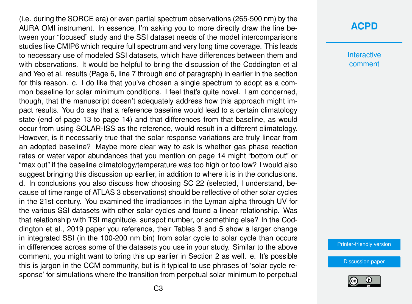(i.e. during the SORCE era) or even partial spectrum observations (265-500 nm) by the AURA OMI instrument. In essence, I'm asking you to more directly draw the line between your "focused" study and the SSI dataset needs of the model intercomparisons studies like CMIP6 which require full spectrum and very long time coverage. This leads to necessary use of modeled SSI datasets, which have differences between them and with observations. It would be helpful to bring the discussion of the Coddington et al and Yeo et al. results (Page 6, line 7 through end of paragraph) in earlier in the section for this reason. c. I do like that you've chosen a single spectrum to adopt as a common baseline for solar minimum conditions. I feel that's quite novel. I am concerned, though, that the manuscript doesn't adequately address how this approach might impact results. You do say that a reference baseline would lead to a certain climatology state (end of page 13 to page 14) and that differences from that baseline, as would occur from using SOLAR-ISS as the reference, would result in a different climatology. However, is it necessarily true that the solar response variations are truly linear from an adopted baseline? Maybe more clear way to ask is whether gas phase reaction rates or water vapor abundances that you mention on page 14 might "bottom out" or "max out" if the baseline climatology/temperature was too high or too low? I would also suggest bringing this discussion up earlier, in addition to where it is in the conclusions. d. In conclusions you also discuss how choosing SC 22 (selected, I understand, because of time range of ATLAS 3 observations) should be reflective of other solar cycles in the 21st century. You examined the irradiances in the Lyman alpha through UV for the various SSI datasets with other solar cycles and found a linear relationship. Was that relationship with TSI magnitude, sunspot number, or something else? In the Coddington et al., 2019 paper you reference, their Tables 3 and 5 show a larger change in integrated SSI (in the 100-200 nm bin) from solar cycle to solar cycle than occurs in differences across some of the datasets you use in your study. Similar to the above comment, you might want to bring this up earlier in Section 2 as well. e. It's possible this is jargon in the CCM community, but is it typical to use phrases of 'solar cycle response' for simulations where the transition from perpetual solar minimum to perpetual

#### **[ACPD](https://www.atmos-chem-phys-discuss.net/)**

**Interactive** comment

[Printer-friendly version](https://www.atmos-chem-phys-discuss.net/acp-2019-1010/acp-2019-1010-RC3-print.pdf)

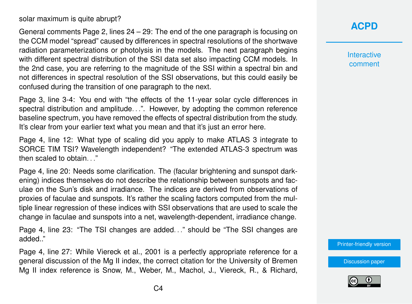solar maximum is quite abrupt?

General comments Page 2, lines 24 – 29: The end of the one paragraph is focusing on the CCM model "spread" caused by differences in spectral resolutions of the shortwave radiation parameterizations or photolysis in the models. The next paragraph begins with different spectral distribution of the SSI data set also impacting CCM models. In the 2nd case, you are referring to the magnitude of the SSI within a spectral bin and not differences in spectral resolution of the SSI observations, but this could easily be confused during the transition of one paragraph to the next.

Page 3, line 3-4: You end with "the effects of the 11-year solar cycle differences in spectral distribution and amplitude...". However, by adopting the common reference baseline spectrum, you have removed the effects of spectral distribution from the study. It's clear from your earlier text what you mean and that it's just an error here.

Page 4, line 12: What type of scaling did you apply to make ATLAS 3 integrate to SORCE TIM TSI? Wavelength independent? "The extended ATLAS-3 spectrum was then scaled to obtain. . ."

Page 4, line 20: Needs some clarification. The (facular brightening and sunspot darkening) indices themselves do not describe the relationship between sunspots and faculae on the Sun's disk and irradiance. The indices are derived from observations of proxies of faculae and sunspots. It's rather the scaling factors computed from the multiple linear regression of these indices with SSI observations that are used to scale the change in faculae and sunspots into a net, wavelength-dependent, irradiance change.

Page 4, line 23: "The TSI changes are added. . ." should be "The SSI changes are added.."

Page 4, line 27: While Viereck et al., 2001 is a perfectly appropriate reference for a general discussion of the Mg II index, the correct citation for the University of Bremen Mg II index reference is Snow, M., Weber, M., Machol, J., Viereck, R., & Richard,

### **[ACPD](https://www.atmos-chem-phys-discuss.net/)**

**Interactive** comment

[Printer-friendly version](https://www.atmos-chem-phys-discuss.net/acp-2019-1010/acp-2019-1010-RC3-print.pdf)

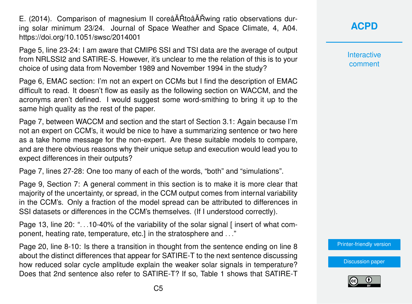E. (2014). Comparison of magnesium II coreâ AÑ Rtoâ AÑ Aving ratio observations during solar minimum 23/24. Journal of Space Weather and Space Climate, 4, A04. https://doi.org/10.1051/swsc/2014001

Page 5, line 23-24: I am aware that CMIP6 SSI and TSI data are the average of output from NRLSSI2 and SATIRE-S. However, it's unclear to me the relation of this is to your choice of using data from November 1989 and November 1994 in the study?

Page 6, EMAC section: I'm not an expert on CCMs but I find the description of EMAC difficult to read. It doesn't flow as easily as the following section on WACCM, and the acronyms aren't defined. I would suggest some word-smithing to bring it up to the same high quality as the rest of the paper.

Page 7, between WACCM and section and the start of Section 3.1: Again because I'm not an expert on CCM's, it would be nice to have a summarizing sentence or two here as a take home message for the non-expert. Are these suitable models to compare, and are there obvious reasons why their unique setup and execution would lead you to expect differences in their outputs?

Page 7, lines 27-28: One too many of each of the words, "both" and "simulations".

Page 9, Section 7: A general comment in this section is to make it is more clear that majority of the uncertainty, or spread, in the CCM output comes from internal variability in the CCM's. Only a fraction of the model spread can be attributed to differences in SSI datasets or differences in the CCM's themselves. (If I understood correctly).

Page 13, line 20: "...10-40% of the variability of the solar signal [insert of what component, heating rate, temperature, etc.] in the stratosphere and . . ."

Page 20, line 8-10: Is there a transition in thought from the sentence ending on line 8 about the distinct differences that appear for SATIRE-T to the next sentence discussing how reduced solar cycle amplitude explain the weaker solar signals in temperature? Does that 2nd sentence also refer to SATIRE-T? If so, Table 1 shows that SATIRE-T

## **[ACPD](https://www.atmos-chem-phys-discuss.net/)**

**Interactive** comment

[Printer-friendly version](https://www.atmos-chem-phys-discuss.net/acp-2019-1010/acp-2019-1010-RC3-print.pdf)